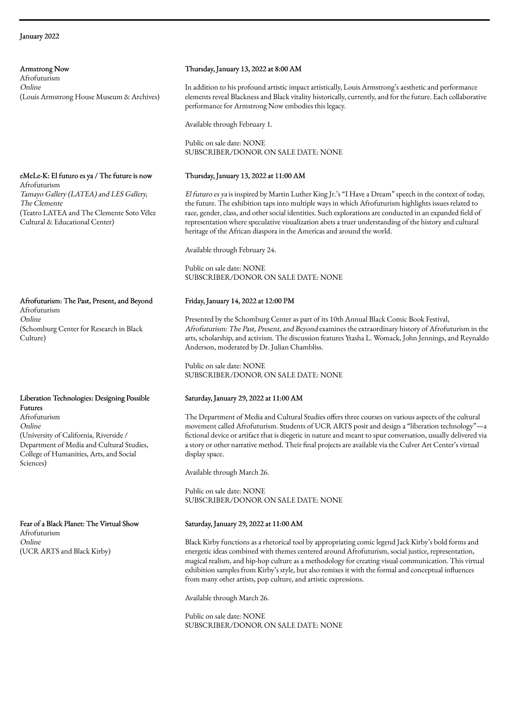Armstrong Now Afrofuturism Online (Louis Armstrong House Museum & Archives)

eMeLe-K: El futuro es ya / The future is now Afrofuturism Tamayo Gallery (LATEA) and LES Gallery, The Clemente (Teatro LATEA and The Clemente Soto Vélez Cultural & Educational Center)

Afrofuturism: The Past, Present, and Beyond Afrofuturism Online (Schomburg Center for Research in Black Culture)

### Liberation Technologies: Designing Possible Futures

Afrofuturism Online (University of California, Riverside / Department of Media and Cultural Studies, College of Humanities, Arts, and Social Sciences)

Fear of a Black Planet: The Virtual Show Afrofuturism Online (UCR ARTS and Black Kirby)

# Thursday, January 13, 2022 at 8:00 AM

In addition to his profound artistic impact artistically, Louis Armstrong's aesthetic and performance elements reveal Blackness and Black vitality historically, currently, and for the future. Each collaborative performance for Armstrong Now embodies this legacy.

Available through February 1.

Public on sale date: NONE SUBSCRIBER/DONOR ON SALE DATE: NONE

# Thursday, January 13, 2022 at 11:00 AM

El futuro es ya is inspired by Martin Luther King Jr.'s "I Have a Dream" speech in the context of today, the future. The exhibition taps into multiple ways in which Afrofuturism highlights issues related to race, gender, class, and other social identities. Such explorations are conducted in an expanded field of representation where speculative visualization abets a truer understanding of the history and cultural heritage of the African diaspora in the Americas and around the world.

Available through February 24.

Public on sale date: NONE SUBSCRIBER/DONOR ON SALE DATE: NONE

# Friday, January 14, 2022 at 12:00 PM

Presented by the Schomburg Center as part of its 10th Annual Black Comic Book Festival, Afrofuturism: The Past, Present, and Beyond examines the extraordinary history of Afrofuturism in the arts, scholarship, and activism. The discussion features Ytasha L. Womack, John Jennings, and Reynaldo Anderson, moderated by Dr. Julian Chambliss.

Public on sale date: NONE SUBSCRIBER/DONOR ON SALE DATE: NONE

# Saturday, January 29, 2022 at 11:00 AM

The Department of Media and Cultural Studies offers three courses on various aspects of the cultural movement called Afrofuturism. Students of UCR ARTS posit and design a "liberation technology"—a fictional device or artifact that is diegetic in nature and meant to spur conversation, usually delivered via a story or other narrative method. Their final projects are available via the Culver Art Center's virtual display space.

Available through March 26.

Public on sale date: NONE SUBSCRIBER/DONOR ON SALE DATE: NONE

# Saturday, January 29, 2022 at 11:00 AM

Black Kirby functions as a rhetorical tool by appropriating comic legend Jack Kirby's bold forms and energetic ideas combined with themes centered around Afrofuturism, social justice, representation, magical realism, and hip-hop culture as a methodology for creating visual communication. This virtual exhibition samples from Kirby's style, but also remixes it with the formal and conceptual influences from many other artists, pop culture, and artistic expressions.

Available through March 26.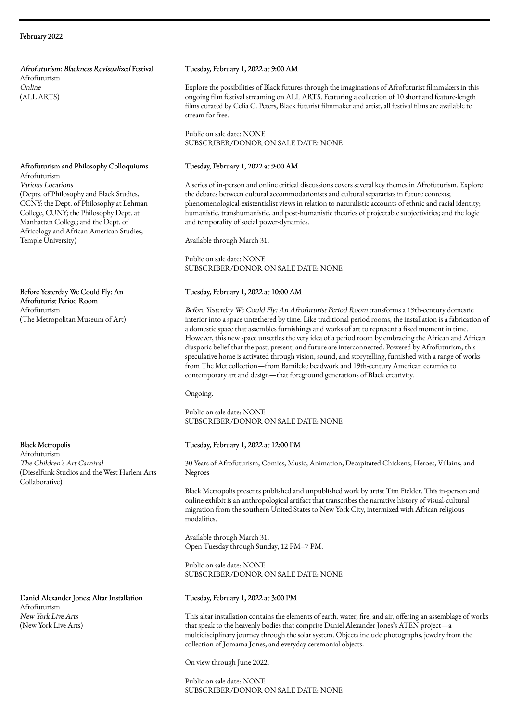### February 2022

Afrofuturism: Blackness Revisualized Festival Afrofuturism Online (ALL ARTS)

#### Afrofuturism and Philosophy Colloquiums Afrofuturism

Various Locations (Depts. of Philosophy and Black Studies, CCNY; the Dept. of Philosophy at Lehman College, CUNY; the Philosophy Dept. at Manhattan College; and the Dept. of Africology and African American Studies, Temple University)

Before Yesterday We Could Fly: An Afrofuturist Period Room Afrofuturism (The Metropolitan Museum of Art)

Black Metropolis

Afrofuturism The Children's Art Carnival (Dieselfunk Studios and the West Harlem Arts Collaborative)

Daniel Alexander Jones: Altar Installation Afrofuturism New York Live Arts (New York Live Arts)

#### Tuesday, February 1, 2022 at 9:00 AM

Explore the possibilities of Black futures through the imaginations of Afrofuturist filmmakers in this ongoing film festival streaming on ALL ARTS. Featuring a collection of 10 short and feature-length films curated by Celia C. Peters, Black futurist filmmaker and artist, all festival films are available to stream for free.

Public on sale date: NONE SUBSCRIBER/DONOR ON SALE DATE: NONE

# Tuesday, February 1, 2022 at 9:00 AM

A series of in-person and online critical discussions covers several key themes in Afrofuturism. Explore the debates between cultural accommodationists and cultural separatists in future contexts; phenomenological-existentialist views in relation to naturalistic accounts of ethnic and racial identity; humanistic, transhumanistic, and post-humanistic theories of projectable subjectivities; and the logic and temporality of social power-dynamics.

Available through March 31.

Public on sale date: NONE SUBSCRIBER/DONOR ON SALE DATE: NONE

#### Tuesday, February 1, 2022 at 10:00 AM

Before Yesterday We Could Fly: An Afrofuturist Period Room transforms a 19th-century domestic interior into a space untethered by time. Like traditional period rooms, the installation is a fabrication of a domestic space that assembles furnishings and works of art to represent a fixed moment in time. However, this new space unsettles the very idea of a period room by embracing the African and African diasporic belief that the past, present, and future are interconnected. Powered by Afrofuturism, this speculative home is activated through vision, sound, and storytelling, furnished with a range of works from The Met collection—from Bamileke beadwork and 19th-century American ceramics to contemporary art and design—that foreground generations of Black creativity.

Ongoing.

Public on sale date: NONE SUBSCRIBER/DONOR ON SALE DATE: NONE

### Tuesday, February 1, 2022 at 12:00 PM

30 Years of Afrofuturism, Comics, Music, Animation, Decapitated Chickens, Heroes, Villains, and Negroes

Black Metropolis presents published and unpublished work by artist Tim Fielder. This in-person and online exhibit is an anthropological artifact that transcribes the narrative history of visual-cultural migration from the southern United States to New York City, intermixed with African religious modalities.

Available through March 31. Open Tuesday through Sunday, 12 PM–7 PM.

Public on sale date: NONE SUBSCRIBER/DONOR ON SALE DATE: NONE

#### Tuesday, February 1, 2022 at 3:00 PM

This altar installation contains the elements of earth, water, fire, and air, offering an assemblage of works that speak to the heavenly bodies that comprise Daniel Alexander Jones's ATEN project—a multidisciplinary journey through the solar system. Objects include photographs, jewelry from the collection of Jomama Jones, and everyday ceremonial objects.

On view through June 2022.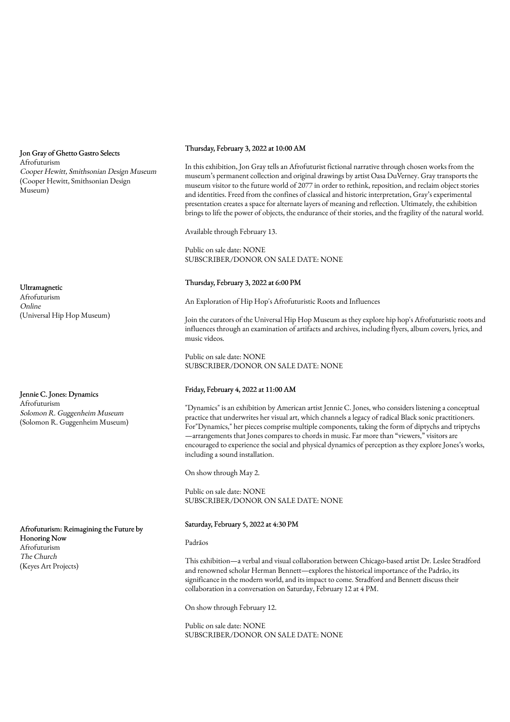Jon Gray of Ghetto Gastro Selects Afrofuturism Cooper Hewitt, Smithsonian Design Museum (Cooper Hewitt, Smithsonian Design Museum)

Ultramagnetic Afrofuturism Online (Universal Hip Hop Museum)

Jennie C. Jones: Dynamics Afrofuturism Solomon R. Guggenheim Museum (Solomon R. Guggenheim Museum)

Afrofuturism: Reimagining the Future by Honoring Now Afrofuturism The Church (Keyes Art Projects)

### Thursday, February 3, 2022 at 10:00 AM

In this exhibition, Jon Gray tells an Afrofuturist fictional narrative through chosen works from the museum's permanent collection and original drawings by artist Oasa DuVerney. Gray transports the museum visitor to the future world of 2077 in order to rethink, reposition, and reclaim object stories and identities. Freed from the confines of classical and historic interpretation, Gray's experimental presentation creates a space for alternate layers of meaning and reflection. Ultimately, the exhibition brings to life the power of objects, the endurance of their stories, and the fragility of the natural world.

Available through February 13.

Public on sale date: NONE SUBSCRIBER/DONOR ON SALE DATE: NONE

# Thursday, February 3, 2022 at 6:00 PM

An Exploration of Hip Hop's Afrofuturistic Roots and Influences

Join the curators of the Universal Hip Hop Museum as they explore hip hop's Afrofuturistic roots and influences through an examination of artifacts and archives, including flyers, album covers, lyrics, and music videos.

Public on sale date: NONE SUBSCRIBER/DONOR ON SALE DATE: NONE

# Friday, February 4, 2022 at 11:00 AM

"Dynamics" is an exhibition by American artist Jennie C. Jones, who considers listening a conceptual practice that underwrites her visual art, which channels a legacy of radical Black sonic practitioners. For"Dynamics," her pieces comprise multiple components, taking the form of diptychs and triptychs —arrangements that Jones compares to chords in music. Far more than "viewers," visitors are encouraged to experience the social and physical dynamics of perception as they explore Jones's works, including a sound installation.

On show through May 2.

Public on sale date: NONE SUBSCRIBER/DONOR ON SALE DATE: NONE

#### Saturday, February 5, 2022 at 4:30 PM

#### Padrãos

This exhibition—a verbal and visual collaboration between Chicago-based artist Dr. Leslee Stradford and renowned scholar Herman Bennett—explores the historical importance of the Padrão, its significance in the modern world, and its impact to come. Stradford and Bennett discuss their collaboration in a conversation on Saturday, February 12 at 4 PM.

On show through February 12.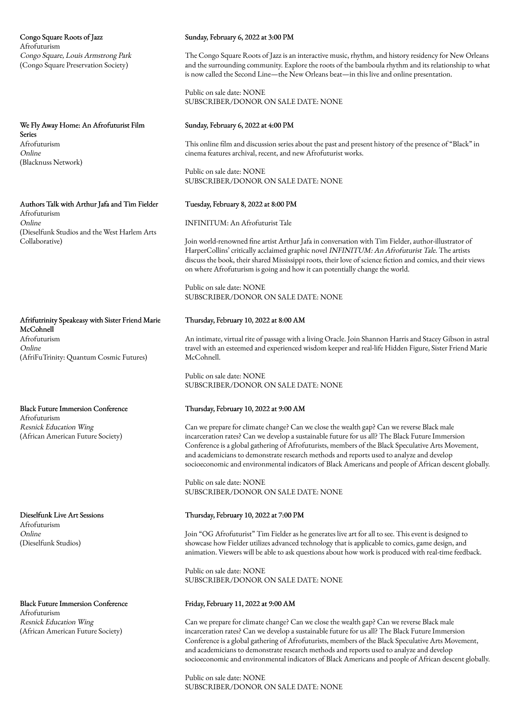Congo Square Roots of Jazz Afrofuturism Congo Square, Louis Armstrong Park (Congo Square Preservation Society)

We Fly Away Home: An Afrofuturist Film Series Afrofuturism Online (Blacknuss Network)

Authors Talk with Arthur Jafa and Tim Fielder Afrofuturism Online (Dieselfunk Studios and the West Harlem Arts Collaborative)

Afrifutrinity Speakeasy with Sister Friend Marie McCohnell Afrofuturism Online (AfriFuTrinity: Quantum Cosmic Futures)

Black Future Immersion Conference Afrofuturism Resnick Education Wing (African American Future Society)

Dieselfunk Live Art Sessions Afrofuturism Online (Dieselfunk Studios)

Black Future Immersion Conference Afrofuturism Resnick Education Wing (African American Future Society)

#### Sunday, February 6, 2022 at 3:00 PM

The Congo Square Roots of Jazz is an interactive music, rhythm, and history residency for New Orleans and the surrounding community. Explore the roots of the bamboula rhythm and its relationship to what is now called the Second Line—the New Orleans beat—in this live and online presentation.

Public on sale date: NONE SUBSCRIBER/DONOR ON SALE DATE: NONE

### Sunday, February 6, 2022 at 4:00 PM

This online film and discussion series about the past and present history of the presence of "Black" in cinema features archival, recent, and new Afrofuturist works.

Public on sale date: NONE SUBSCRIBER/DONOR ON SALE DATE: NONE

### Tuesday, February 8, 2022 at 8:00 PM

INFINITUM: An Afrofuturist Tale

Join world-renowned fine artist Arthur Jafa in conversation with Tim Fielder, author-illustrator of HarperCollins' critically acclaimed graphic novel INFINITUM: An Afrofuturist Tale. The artists discuss the book, their shared Mississippi roots, their love of science fiction and comics, and their views on where Afrofuturism is going and how it can potentially change the world.

Public on sale date: NONE SUBSCRIBER/DONOR ON SALE DATE: NONE

### Thursday, February 10, 2022 at 8:00 AM

An intimate, virtual rite of passage with a living Oracle. Join Shannon Harris and Stacey Gibson in astral travel with an esteemed and experienced wisdom keeper and real-life Hidden Figure, Sister Friend Marie McCohnell.

Public on sale date: NONE SUBSCRIBER/DONOR ON SALE DATE: NONE

#### Thursday, February 10, 2022 at 9:00 AM

Can we prepare for climate change? Can we close the wealth gap? Can we reverse Black male incarceration rates? Can we develop a sustainable future for us all? The Black Future Immersion Conference is a global gathering of Afrofuturists, members of the Black Speculative Arts Movement, and academicians to demonstrate research methods and reports used to analyze and develop socioeconomic and environmental indicators of Black Americans and people of African descent globally.

Public on sale date: NONE SUBSCRIBER/DONOR ON SALE DATE: NONE

# Thursday, February 10, 2022 at 7:00 PM

Join "OG Afrofuturist" Tim Fielder as he generates live art for all to see. This event is designed to showcase how Fielder utilizes advanced technology that is applicable to comics, game design, and animation. Viewers will be able to ask questions about how work is produced with real-time feedback.

Public on sale date: NONE SUBSCRIBER/DONOR ON SALE DATE: NONE

### Friday, February 11, 2022 at 9:00 AM

Can we prepare for climate change? Can we close the wealth gap? Can we reverse Black male incarceration rates? Can we develop a sustainable future for us all? The Black Future Immersion Conference is a global gathering of Afrofuturists, members of the Black Speculative Arts Movement, and academicians to demonstrate research methods and reports used to analyze and develop socioeconomic and environmental indicators of Black Americans and people of African descent globally.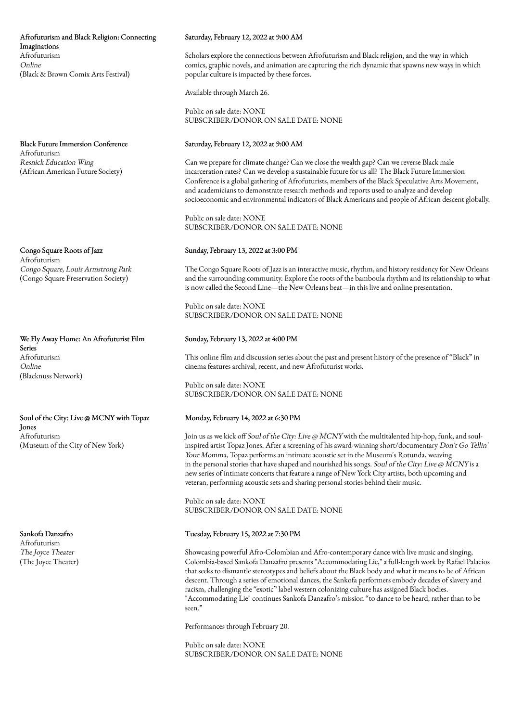### Afrofuturism and Black Religion: Connecting Imaginations Afrofuturism Online (Black & Brown Comix Arts Festival)

Black Future Immersion Conference Afrofuturism Resnick Education Wing (African American Future Society)

Congo Square Roots of Jazz Afrofuturism Congo Square, Louis Armstrong Park (Congo Square Preservation Society)

We Fly Away Home: An Afrofuturist Film Series Afrofuturism Online (Blacknuss Network)

Soul of the City: Live @ MCNY with Topaz Jones Afrofuturism (Museum of the City of New York)

Sankofa Danzafro Afrofuturism The Joyce Theater (The Joyce Theater)

#### Saturday, February 12, 2022 at 9:00 AM

Scholars explore the connections between Afrofuturism and Black religion, and the way in which comics, graphic novels, and animation are capturing the rich dynamic that spawns new ways in which popular culture is impacted by these forces.

Available through March 26.

Public on sale date: NONE SUBSCRIBER/DONOR ON SALE DATE: NONE

## Saturday, February 12, 2022 at 9:00 AM

Can we prepare for climate change? Can we close the wealth gap? Can we reverse Black male incarceration rates? Can we develop a sustainable future for us all? The Black Future Immersion Conference is a global gathering of Afrofuturists, members of the Black Speculative Arts Movement, and academicians to demonstrate research methods and reports used to analyze and develop socioeconomic and environmental indicators of Black Americans and people of African descent globally.

Public on sale date: NONE SUBSCRIBER/DONOR ON SALE DATE: NONE

### Sunday, February 13, 2022 at 3:00 PM

The Congo Square Roots of Jazz is an interactive music, rhythm, and history residency for New Orleans and the surrounding community. Explore the roots of the bamboula rhythm and its relationship to what is now called the Second Line—the New Orleans beat—in this live and online presentation.

Public on sale date: NONE SUBSCRIBER/DONOR ON SALE DATE: NONE

#### Sunday, February 13, 2022 at 4:00 PM

This online film and discussion series about the past and present history of the presence of "Black" in cinema features archival, recent, and new Afrofuturist works.

Public on sale date: NONE SUBSCRIBER/DONOR ON SALE DATE: NONE

#### Monday, February 14, 2022 at 6:30 PM

Join us as we kick off Soul of the City: Live @ MCNY with the multitalented hip-hop, funk, and soulinspired artist Topaz Jones. After a screening of his award-winning short/documentary Don't Go Tellin' Your Momma, Topaz performs an intimate acoustic set in the Museum's Rotunda, weaving in the personal stories that have shaped and nourished his songs. Soul of the City: Live @ MCNY is a new series of intimate concerts that feature a range of New York City artists, both upcoming and veteran, performing acoustic sets and sharing personal stories behind their music.

Public on sale date: NONE SUBSCRIBER/DONOR ON SALE DATE: NONE

#### Tuesday, February 15, 2022 at 7:30 PM

Showcasing powerful Afro-Colombian and Afro-contemporary dance with live music and singing, Colombia-based Sankofa Danzafro presents "Accommodating Lie," a full-length work by Rafael Palacios that seeks to dismantle stereotypes and beliefs about the Black body and what it means to be of African descent. Through a series of emotional dances, the Sankofa performers embody decades of slavery and racism, challenging the "exotic" label western colonizing culture has assigned Black bodies. "Accommodating Lie" continues Sankofa Danzafro's mission "to dance to be heard, rather than to be seen."

Performances through February 20.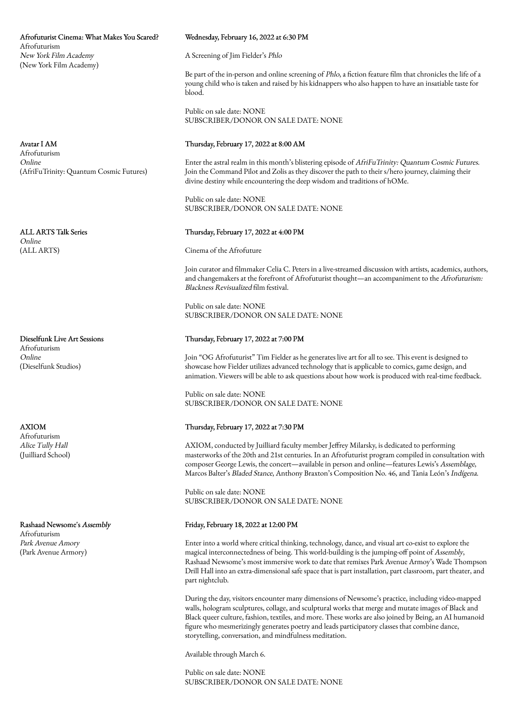Afrofuturist Cinema: What Makes You Scared? Afrofuturism New York Film Academy (New York Film Academy)

Avatar I AM

Afrofuturism Online (AfriFuTrinity: Quantum Cosmic Futures)

ALL ARTS Talk Series Online (ALL ARTS)

Dieselfunk Live Art Sessions Afrofuturism Online (Dieselfunk Studios)

AXIOM Afrofuturism Alice Tully Hall (Juilliard School)

Rashaad Newsome's Assembly Afrofuturism Park Avenue Amory (Park Avenue Armory)

### Wednesday, February 16, 2022 at 6:30 PM

A Screening of Jim Fielder's Phlo

Be part of the in-person and online screening of Phlo, a fiction feature film that chronicles the life of a young child who is taken and raised by his kidnappers who also happen to have an insatiable taste for blood.

Public on sale date: NONE SUBSCRIBER/DONOR ON SALE DATE: NONE

# Thursday, February 17, 2022 at 8:00 AM

Enter the astral realm in this month's blistering episode of AfriFuTrinity: Quantum Cosmic Futures. Join the Command Pilot and Zolis as they discover the path to their s/hero journey, claiming their divine destiny while encountering the deep wisdom and traditions of hOMe.

Public on sale date: NONE SUBSCRIBER/DONOR ON SALE DATE: NONE

# Thursday, February 17, 2022 at 4:00 PM

Cinema of the Afrofuture

Join curator and filmmaker Celia C. Peters in a live-streamed discussion with artists, academics, authors, and changemakers at the forefront of Afrofuturist thought—an accompaniment to the Afrofuturism: Blackness Revisualized film festival.

Public on sale date: NONE SUBSCRIBER/DONOR ON SALE DATE: NONE

# Thursday, February 17, 2022 at 7:00 PM

Join "OG Afrofuturist" Tim Fielder as he generates live art for all to see. This event is designed to showcase how Fielder utilizes advanced technology that is applicable to comics, game design, and animation. Viewers will be able to ask questions about how work is produced with real-time feedback.

Public on sale date: NONE SUBSCRIBER/DONOR ON SALE DATE: NONE

# Thursday, February 17, 2022 at 7:30 PM

AXIOM, conducted by Juilliard faculty member Jeffrey Milarsky, is dedicated to performing masterworks of the 20th and 21st centuries. In an Afrofuturist program compiled in consultation with composer George Lewis, the concert—available in person and online—features Lewis's Assemblage, Marcos Balter's Bladed Stance, Anthony Braxton's Composition No. 46, and Tania León's Indígena.

Public on sale date: NONE SUBSCRIBER/DONOR ON SALE DATE: NONE

# Friday, February 18, 2022 at 12:00 PM

Enter into a world where critical thinking, technology, dance, and visual art co-exist to explore the magical interconnectedness of being. This world-building is the jumping-off point of Assembly, Rashaad Newsome's most immersive work to date that remixes Park Avenue Armoy's Wade Thompson Drill Hall into an extra-dimensional safe space that is part installation, part classroom, part theater, and part nightclub.

During the day, visitors encounter many dimensions of Newsome's practice, including video-mapped walls, hologram sculptures, collage, and sculptural works that merge and mutate images of Black and Black queer culture, fashion, textiles, and more. These works are also joined by Being, an AI humanoid figure who mesmerizingly generates poetry and leads participatory classes that combine dance, storytelling, conversation, and mindfulness meditation.

Available through March 6.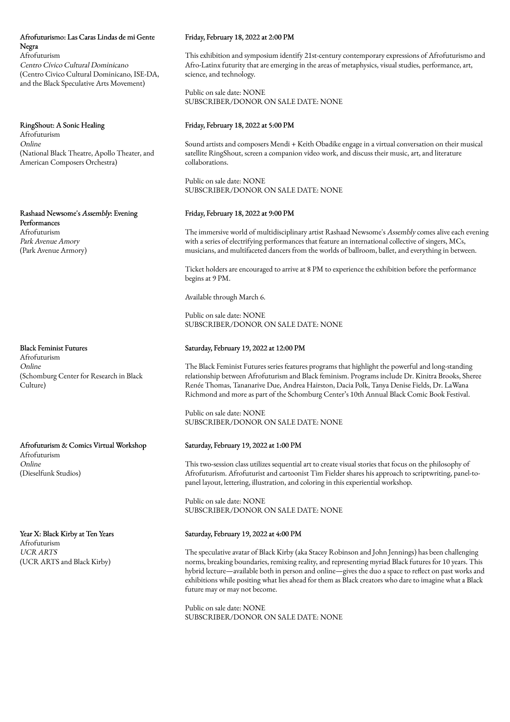# Afrofuturismo: Las Caras Lindas de mi Gente Negra Afrofuturism Centro Cívico Cultural Dominicano

(Centro Civico Cultural Dominicano, ISE-DA, and the Black Speculative Arts Movement)

RingShout: A Sonic Healing Afrofuturism Online (National Black Theatre, Apollo Theater, and American Composers Orchestra)

Rashaad Newsome's Assembly: Evening Performances Afrofuturism Park Avenue Amory (Park Avenue Armory)

Black Feminist Futures

Afrofuturism Online (Schomburg Center for Research in Black Culture)

Afrofuturism & Comics Virtual Workshop Afrofuturism Online (Dieselfunk Studios)

Year X: Black Kirby at Ten Years Afrofuturism UCR ARTS (UCR ARTS and Black Kirby)

### Friday, February 18, 2022 at 2:00 PM

This exhibition and symposium identify 21st-century contemporary expressions of Afrofuturismo and Afro-Latinx futurity that are emerging in the areas of metaphysics, visual studies, performance, art, science, and technology.

Public on sale date: NONE SUBSCRIBER/DONOR ON SALE DATE: NONE

# Friday, February 18, 2022 at 5:00 PM

Sound artists and composers Mendi + Keith Obadike engage in a virtual conversation on their musical satellite RingShout, screen a companion video work, and discuss their music, art, and literature collaborations.

Public on sale date: NONE SUBSCRIBER/DONOR ON SALE DATE: NONE

# Friday, February 18, 2022 at 9:00 PM

The immersive world of multidisciplinary artist Rashaad Newsome's Assembly comes alive each evening with a series of electrifying performances that feature an international collective of singers, MCs, musicians, and multifaceted dancers from the worlds of ballroom, ballet, and everything in between.

Ticket holders are encouraged to arrive at 8 PM to experience the exhibition before the performance begins at 9 PM.

Available through March 6.

Public on sale date: NONE SUBSCRIBER/DONOR ON SALE DATE: NONE

### Saturday, February 19, 2022 at 12:00 PM

The Black Feminist Futures series features programs that highlight the powerful and long-standing relationship between Afrofuturism and Black feminism. Programs include Dr. Kinitra Brooks, Sheree Renée Thomas, Tananarive Due, Andrea Hairston, Dacia Polk, Tanya Denise Fields, Dr. LaWana Richmond and more as part of the Schomburg Center's 10th Annual Black Comic Book Festival.

Public on sale date: NONE SUBSCRIBER/DONOR ON SALE DATE: NONE

# Saturday, February 19, 2022 at 1:00 PM

This two-session class utilizes sequential art to create visual stories that focus on the philosophy of Afrofuturism. Afrofuturist and cartoonist Tim Fielder shares his approach to scriptwriting, panel-topanel layout, lettering, illustration, and coloring in this experiential workshop.

Public on sale date: NONE SUBSCRIBER/DONOR ON SALE DATE: NONE

#### Saturday, February 19, 2022 at 4:00 PM

The speculative avatar of Black Kirby (aka Stacey Robinson and John Jennings) has been challenging norms, breaking boundaries, remixing reality, and representing myriad Black futures for 10 years. This hybrid lecture—available both in person and online—gives the duo a space to reflect on past works and exhibitions while positing what lies ahead for them as Black creators who dare to imagine what a Black future may or may not become.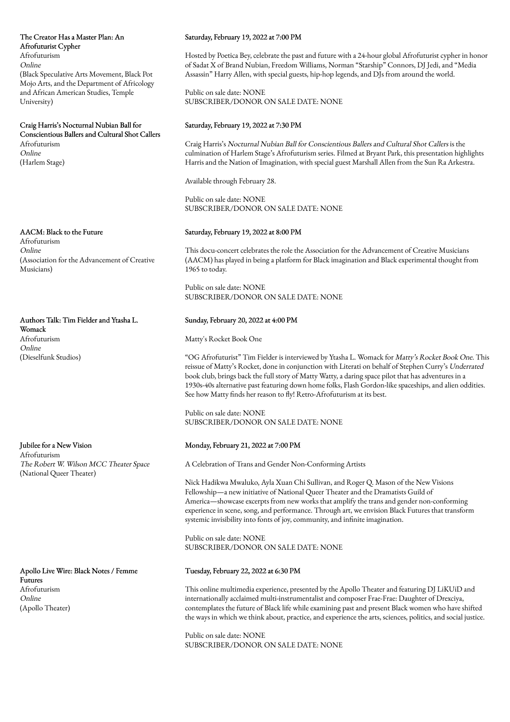The Creator Has a Master Plan: An Afrofuturist Cypher Afrofuturism Online (Black Speculative Arts Movement, Black Pot Mojo Arts, and the Department of Africology and African American Studies, Temple University)

Craig Harris's Nocturnal Nubian Ball for Conscientious Ballers and Cultural Shot Callers Afrofuturism Online (Harlem Stage)

AACM: Black to the Future Afrofuturism Online (Association for the Advancement of Creative Musicians)

Authors Talk: Tim Fielder and Ytasha L. Womack Afrofuturism Online (Dieselfunk Studios)

Jubilee for a New Vision Afrofuturism The Robert W. Wilson MCC Theater Space (National Queer Theater)

Apollo Live Wire: Black Notes / Femme Futures Afrofuturism Online (Apollo Theater)

### Saturday, February 19, 2022 at 7:00 PM

Hosted by Poetica Bey, celebrate the past and future with a 24-hour global Afrofuturist cypher in honor of Sadat X of Brand Nubian, Freedom Williams, Norman "Starship" Connors, DJ Jedi, and "Media Assassin" Harry Allen, with special guests, hip-hop legends, and DJs from around the world.

Public on sale date: NONE SUBSCRIBER/DONOR ON SALE DATE: NONE

### Saturday, February 19, 2022 at 7:30 PM

Craig Harris's Nocturnal Nubian Ball for Conscientious Ballers and Cultural Shot Callers is the culmination of Harlem Stage's Afrofuturism series. Filmed at Bryant Park, this presentation highlights Harris and the Nation of Imagination, with special guest Marshall Allen from the Sun Ra Arkestra.

Available through February 28.

Public on sale date: NONE SUBSCRIBER/DONOR ON SALE DATE: NONE

## Saturday, February 19, 2022 at 8:00 PM

This docu-concert celebrates the role the Association for the Advancement of Creative Musicians (AACM) has played in being a platform for Black imagination and Black experimental thought from 1965 to today.

Public on sale date: NONE SUBSCRIBER/DONOR ON SALE DATE: NONE

# Sunday, February 20, 2022 at 4:00 PM

Matty's Rocket Book One

"OG Afrofuturist" Tim Fielder is interviewed by Ytasha L. Womack for Matty's Rocket Book One. This reissue of Matty's Rocket, done in conjunction with Literati on behalf of Stephen Curry's Underrated book club, brings back the full story of Matty Watty, a daring space pilot that has adventures in a 1930s-40s alternative past featuring down home folks, Flash Gordon-like spaceships, and alien oddities. See how Matty finds her reason to fly! Retro-Afrofuturism at its best.

Public on sale date: NONE SUBSCRIBER/DONOR ON SALE DATE: NONE

# Monday, February 21, 2022 at 7:00 PM

A Celebration of Trans and Gender Non-Conforming Artists

Nick Hadikwa Mwaluko, Ayla Xuan Chi Sullivan, and Roger Q. Mason of the New Visions Fellowship—a new initiative of National Queer Theater and the Dramatists Guild of America—showcase excerpts from new works that amplify the trans and gender non-conforming experience in scene, song, and performance. Through art, we envision Black Futures that transform systemic invisibility into fonts of joy, community, and infinite imagination.

Public on sale date: NONE SUBSCRIBER/DONOR ON SALE DATE: NONE

# Tuesday, February 22, 2022 at 6:30 PM

This online multimedia experience, presented by the Apollo Theater and featuring DJ LiKUiD and internationally acclaimed multi-instrumentalist and composer Frae-Frae: Daughter of Drexciya, contemplates the future of Black life while examining past and present Black women who have shifted the ways in which we think about, practice, and experience the arts, sciences, politics, and social justice.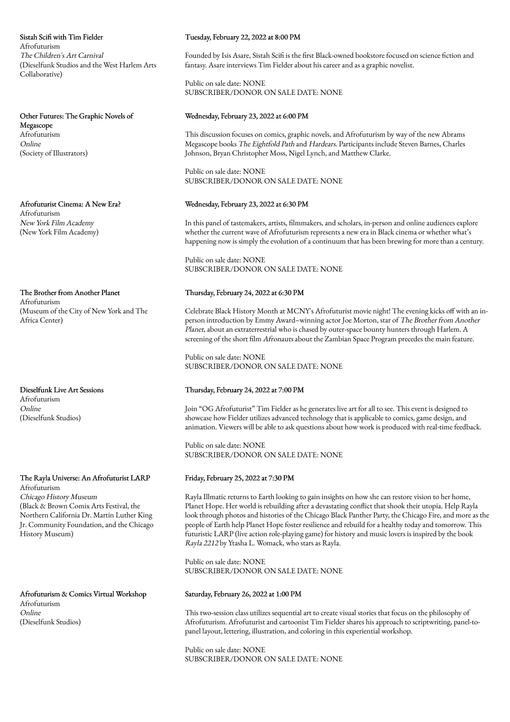Sistah Scifi with Tim Fielder Afrofuturism The Children's Art Carnival (Dieselfunk Studios and the West Harlem Arts Collaborative)

Other Futures: The Graphic Novels of Megascope Afrofuturism Online (Society of Illustrators)

Afrofuturist Cinema: A New Era? Afrofuturism New York Film Academy (New York Film Academy)

The Brother from Another Planet Afrofuturism (Museum of the City of New York and The Africa Center)

Dieselfunk Live Art Sessions Afrofuturism Online (Dieselfunk Studios)

#### The Rayla Universe: An Afrofuturist LARP Afrofuturism

Chicago History Museum (Black & Brown Comix Arts Festival, the Northern California Dr. Martin Luther King Jr. Community Foundation, and the Chicago History Museum)

Afrofuturism & Comics Virtual Workshop Afrofuturism Online (Dieselfunk Studios)

## Tuesday, February 22, 2022 at 8:00 PM

Founded by Isis Asare, Sistah Scifi is the first Black-owned bookstore focused on science fiction and fantasy. Asare interviews Tim Fielder about his career and as a graphic novelist.

Public on sale date: NONE SUBSCRIBER/DONOR ON SALE DATE: NONE

### Wednesday, February 23, 2022 at 6:00 PM

This discussion focuses on comics, graphic novels, and Afrofuturism by way of the new Abrams Megascope books The Eightfold Path and Hardears. Participants include Steven Barnes, Charles Johnson, Bryan Christopher Moss, Nigel Lynch, and Matthew Clarke.

Public on sale date: NONE SUBSCRIBER/DONOR ON SALE DATE: NONE

### Wednesday, February 23, 2022 at 6:30 PM

In this panel of tastemakers, artists, filmmakers, and scholars, in-person and online audiences explore whether the current wave of Afrofuturism represents a new era in Black cinema or whether what's happening now is simply the evolution of a continuum that has been brewing for more than a century.

Public on sale date: NONE SUBSCRIBER/DONOR ON SALE DATE: NONE

### Thursday, February 24, 2022 at 6:30 PM

Celebrate Black History Month at MCNY's Afrofuturist movie night! The evening kicks off with an inperson introduction by Emmy Award–winning actor Joe Morton, star of The Brother from Another Planet, about an extraterrestrial who is chased by outer-space bounty hunters through Harlem. A screening of the short film Afronauts about the Zambian Space Program precedes the main feature.

Public on sale date: NONE SUBSCRIBER/DONOR ON SALE DATE: NONE

## Thursday, February 24, 2022 at 7:00 PM

Join "OG Afrofuturist" Tim Fielder as he generates live art for all to see. This event is designed to showcase how Fielder utilizes advanced technology that is applicable to comics, game design, and animation. Viewers will be able to ask questions about how work is produced with real-time feedback.

Public on sale date: NONE SUBSCRIBER/DONOR ON SALE DATE: NONE

### Friday, February 25, 2022 at 7:30 PM

Rayla Illmatic returns to Earth looking to gain insights on how she can restore vision to her home, Planet Hope. Her world is rebuilding after a devastating conflict that shook their utopia. Help Rayla look through photos and histories of the Chicago Black Panther Party, the Chicago Fire, and more as the people of Earth help Planet Hope foster resilience and rebuild for a healthy today and tomorrow. This futuristic LARP (live action role-playing game) for history and music lovers is inspired by the book Rayla 2212 by Ytasha L. Womack, who stars as Rayla.

Public on sale date: NONE SUBSCRIBER/DONOR ON SALE DATE: NONE

### Saturday, February 26, 2022 at 1:00 PM

This two-session class utilizes sequential art to create visual stories that focus on the philosophy of Afrofuturism. Afrofuturist and cartoonist Tim Fielder shares his approach to scriptwriting, panel-topanel layout, lettering, illustration, and coloring in this experiential workshop.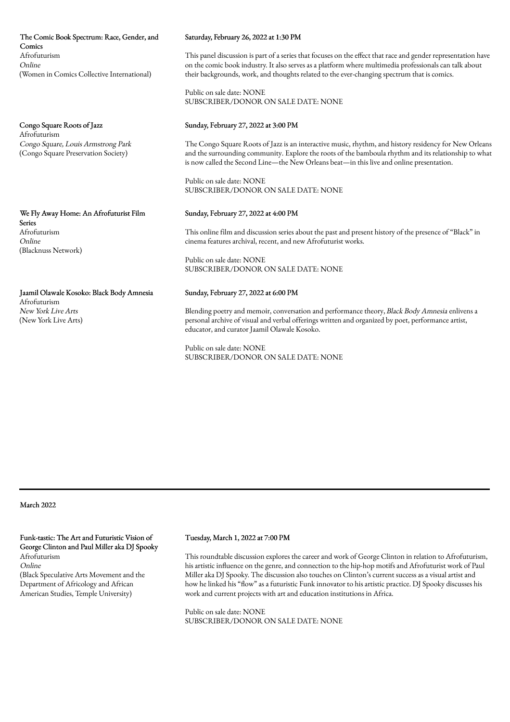The Comic Book Spectrum: Race, Gender, and Comics Afrofuturism Online (Women in Comics Collective International)

Congo Square Roots of Jazz Afrofuturism Congo Square, Louis Armstrong Park (Congo Square Preservation Society)

We Fly Away Home: An Afrofuturist Film Series Afrofuturism Online (Blacknuss Network)

Jaamil Olawale Kosoko: Black Body Amnesia Afrofuturism

New York Live Arts (New York Live Arts)

### Saturday, February 26, 2022 at 1:30 PM

This panel discussion is part of a series that focuses on the effect that race and gender representation have on the comic book industry. It also serves as a platform where multimedia professionals can talk about their backgrounds, work, and thoughts related to the ever-changing spectrum that is comics.

Public on sale date: NONE SUBSCRIBER/DONOR ON SALE DATE: NONE

### Sunday, February 27, 2022 at 3:00 PM

The Congo Square Roots of Jazz is an interactive music, rhythm, and history residency for New Orleans and the surrounding community. Explore the roots of the bamboula rhythm and its relationship to what is now called the Second Line—the New Orleans beat—in this live and online presentation.

Public on sale date: NONE SUBSCRIBER/DONOR ON SALE DATE: NONE

#### Sunday, February 27, 2022 at 4:00 PM

This online film and discussion series about the past and present history of the presence of "Black" in cinema features archival, recent, and new Afrofuturist works.

Public on sale date: NONE SUBSCRIBER/DONOR ON SALE DATE: NONE

### Sunday, February 27, 2022 at 6:00 PM

Blending poetry and memoir, conversation and performance theory, Black Body Amnesia enlivens a personal archive of visual and verbal offerings written and organized by poet, performance artist, educator, and curator Jaamil Olawale Kosoko.

Public on sale date: NONE SUBSCRIBER/DONOR ON SALE DATE: NONE

March 2022

Funk-tastic: The Art and Futuristic Vision of George Clinton and Paul Miller aka DJ Spooky Afrofuturism Online

(Black Speculative Arts Movement and the Department of Africology and African American Studies, Temple University)

#### Tuesday, March 1, 2022 at 7:00 PM

This roundtable discussion explores the career and work of George Clinton in relation to Afrofuturism, his artistic influence on the genre, and connection to the hip-hop motifs and Afrofuturist work of Paul Miller aka DJ Spooky. The discussion also touches on Clinton's current success as a visual artist and how he linked his "flow" as a futuristic Funk innovator to his artistic practice. DJ Spooky discusses his work and current projects with art and education institutions in Africa.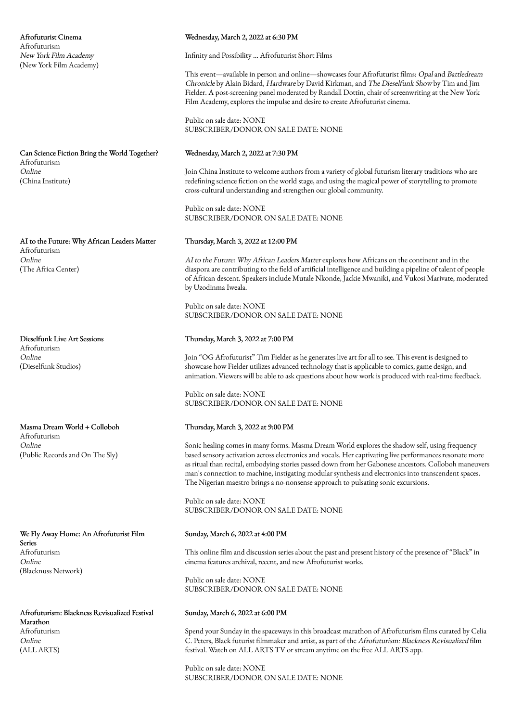Afrofuturist Cinema Afrofuturism New York Film Academy (New York Film Academy)

Can Science Fiction Bring the World Together? Afrofuturism Online (China Institute)

AI to the Future: Why African Leaders Matter Afrofuturism Online (The Africa Center)

Dieselfunk Live Art Sessions Afrofuturism Online (Dieselfunk Studios)

Masma Dream World + Colloboh Afrofuturism Online (Public Records and On The Sly)

We Fly Away Home: An Afrofuturist Film Series Afrofuturism Online (Blacknuss Network)

Afrofuturism: Blackness Revisualized Festival Marathon Afrofuturism Online (ALL ARTS)

#### Wednesday, March 2, 2022 at 6:30 PM

Infinity and Possibility … Afrofuturist Short Films

This event—available in person and online—showcases four Afrofuturist films: Opaland Battledream Chronicle by Alain Bidard, Hardware by David Kirkman, and The Dieselfunk Show by Tim and Jim Fielder. A post-screening panel moderated by Randall Dottin, chair of screenwriting at the New York Film Academy, explores the impulse and desire to create Afrofuturist cinema.

Public on sale date: NONE SUBSCRIBER/DONOR ON SALE DATE: NONE

#### Wednesday, March 2, 2022 at 7:30 PM

Join China Institute to welcome authors from a variety of global futurism literary traditions who are redefining science fiction on the world stage, and using the magical power of storytelling to promote cross-cultural understanding and strengthen our global community.

Public on sale date: NONE SUBSCRIBER/DONOR ON SALE DATE: NONE

#### Thursday, March 3, 2022 at 12:00 PM

AI to the Future: Why African Leaders Matter explores how Africans on the continent and in the diaspora are contributing to the field of artificial intelligence and building a pipeline of talent of people of African descent. Speakers include Mutale Nkonde, Jackie Mwaniki, and Vukosi Marivate, moderated by Uzodinma Iweala.

Public on sale date: NONE SUBSCRIBER/DONOR ON SALE DATE: NONE

#### Thursday, March 3, 2022 at 7:00 PM

Join "OG Afrofuturist" Tim Fielder as he generates live art for all to see. This event is designed to showcase how Fielder utilizes advanced technology that is applicable to comics, game design, and animation. Viewers will be able to ask questions about how work is produced with real-time feedback.

Public on sale date: NONE SUBSCRIBER/DONOR ON SALE DATE: NONE

# Thursday, March 3, 2022 at 9:00 PM

Sonic healing comes in many forms. Masma Dream World explores the shadow self, using frequency based sensory activation across electronics and vocals. Her captivating live performances resonate more as ritual than recital, embodying stories passed down from her Gabonese ancestors. Colloboh maneuvers man's connection to machine, instigating modular synthesis and electronics into transcendent spaces. The Nigerian maestro brings a no-nonsense approach to pulsating sonic excursions.

Public on sale date: NONE SUBSCRIBER/DONOR ON SALE DATE: NONE

#### Sunday, March 6, 2022 at 4:00 PM

This online film and discussion series about the past and present history of the presence of "Black" in cinema features archival, recent, and new Afrofuturist works.

Public on sale date: NONE SUBSCRIBER/DONOR ON SALE DATE: NONE

## Sunday, March 6, 2022 at 6:00 PM

Spend your Sunday in the spaceways in this broadcast marathon of Afrofuturism films curated by Celia C. Peters, Black futurist filmmaker and artist, as part of the Afrofuturism: Blackness Revisualized film festival. Watch on ALL ARTS TV or stream anytime on the free ALL ARTS app.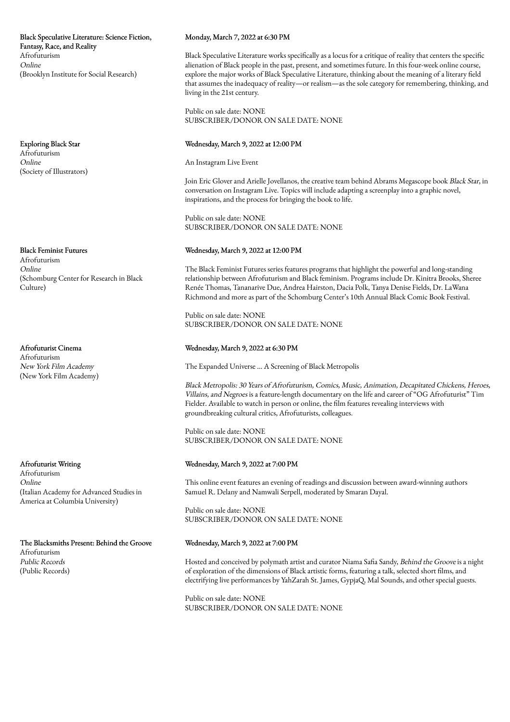Black Speculative Literature: Science Fiction, Fantasy, Race, and Reality Afrofuturism Online (Brooklyn Institute for Social Research)

Exploring Black Star Afrofuturism Online (Society of Illustrators)

Black Feminist Futures Afrofuturism Online (Schomburg Center for Research in Black Culture)

Afrofuturist Cinema Afrofuturism New York Film Academy (New York Film Academy)

Afrofuturist Writing Afrofuturism Online (Italian Academy for Advanced Studies in America at Columbia University)

The Blacksmiths Present: Behind the Groove Afrofuturism Public Records (Public Records)

# Monday, March 7, 2022 at 6:30 PM

Black Speculative Literature works specifically as a locus for a critique of reality that centers the specific alienation of Black people in the past, present, and sometimes future. In this four-week online course, explore the major works of Black Speculative Literature, thinking about the meaning of a literary field that assumes the inadequacy of reality—or realism—as the sole category for remembering, thinking, and living in the 21st century.

Public on sale date: NONE SUBSCRIBER/DONOR ON SALE DATE: NONE

# Wednesday, March 9, 2022 at 12:00 PM

An Instagram Live Event

Join Eric Glover and Arielle Jovellanos, the creative team behind Abrams Megascope book Black Star, in conversation on Instagram Live. Topics will include adapting a screenplay into a graphic novel, inspirations, and the process for bringing the book to life.

Public on sale date: NONE SUBSCRIBER/DONOR ON SALE DATE: NONE

# Wednesday, March 9, 2022 at 12:00 PM

The Black Feminist Futures series features programs that highlight the powerful and long-standing relationship between Afrofuturism and Black feminism. Programs include Dr. Kinitra Brooks, Sheree Renée Thomas, Tananarive Due, Andrea Hairston, Dacia Polk, Tanya Denise Fields, Dr. LaWana Richmond and more as part of the Schomburg Center's 10th Annual Black Comic Book Festival.

Public on sale date: NONE SUBSCRIBER/DONOR ON SALE DATE: NONE

# Wednesday, March 9, 2022 at 6:30 PM

The Expanded Universe … A Screening of Black Metropolis

Black Metropolis: 30 Years of Afrofuturism, Comics, Music, Animation, Decapitated Chickens, Heroes, Villains, and Negroes is a feature-length documentary on the life and career of "OG Afrofuturist" Tim Fielder. Available to watch in person or online, the film features revealing interviews with groundbreaking cultural critics, Afrofuturists, colleagues.

Public on sale date: NONE SUBSCRIBER/DONOR ON SALE DATE: NONE

# Wednesday, March 9, 2022 at 7:00 PM

This online event features an evening of readings and discussion between award-winning authors Samuel R. Delany and Namwali Serpell, moderated by Smaran Dayal.

Public on sale date: NONE SUBSCRIBER/DONOR ON SALE DATE: NONE

# Wednesday, March 9, 2022 at 7:00 PM

Hosted and conceived by polymath artist and curator Niama Safia Sandy, Behind the Groove is a night of exploration of the dimensions of Black artistic forms, featuring a talk, selected short films, and electrifying live performances by YahZarah St. James, GypjaQ, Mal Sounds, and other special guests.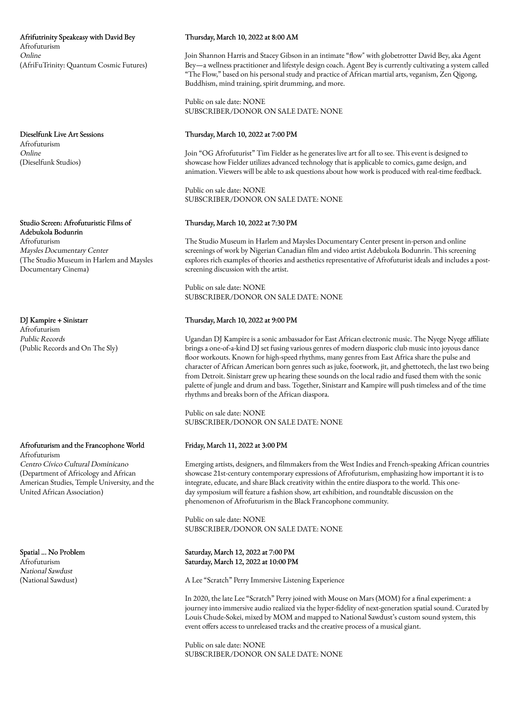Afrifutrinity Speakeasy with David Bey Afrofuturism Online (AfriFuTrinity: Quantum Cosmic Futures)

Dieselfunk Live Art Sessions Afrofuturism Online (Dieselfunk Studios)

Studio Screen: Afrofuturistic Films of Adebukola Bodunrin Afrofuturism Maysles Documentary Center (The Studio Museum in Harlem and Maysles Documentary Cinema)

DJ Kampire + Sinistarr Afrofuturism Public Records (Public Records and On The Sly)

Afrofuturism and the Francophone World Afrofuturism Centro Cívico Cultural Dominicano (Department of Africology and African

American Studies, Temple University, and the United African Association)

Spatial ... No Problem Afrofuturism National Sawdust (National Sawdust)

# Thursday, March 10, 2022 at 8:00 AM

Join Shannon Harris and Stacey Gibson in an intimate "flow" with globetrotter David Bey, aka Agent Bey—a wellness practitioner and lifestyle design coach. Agent Bey is currently cultivating a system called "The Flow," based on his personal study and practice of African martial arts, veganism, Zen Qigong, Buddhism, mind training, spirit drumming, and more.

Public on sale date: NONE SUBSCRIBER/DONOR ON SALE DATE: NONE

# Thursday, March 10, 2022 at 7:00 PM

Join "OG Afrofuturist" Tim Fielder as he generates live art for all to see. This event is designed to showcase how Fielder utilizes advanced technology that is applicable to comics, game design, and animation. Viewers will be able to ask questions about how work is produced with real-time feedback.

Public on sale date: NONE SUBSCRIBER/DONOR ON SALE DATE: NONE

# Thursday, March 10, 2022 at 7:30 PM

The Studio Museum in Harlem and Maysles Documentary Center present in-person and online screenings of work by Nigerian Canadian film and video artist Adebukola Bodunrin. This screening explores rich examples of theories and aesthetics representative of Afrofuturist ideals and includes a postscreening discussion with the artist.

Public on sale date: NONE SUBSCRIBER/DONOR ON SALE DATE: NONE

# Thursday, March 10, 2022 at 9:00 PM

Ugandan DJ Kampire is a sonic ambassador for East African electronic music. The Nyege Nyege affiliate brings a one-of-a-kind DJ set fusing various genres of modern diasporic club music into joyous dance floor workouts. Known for high-speed rhythms, many genres from East Africa share the pulse and character of African American born genres such as juke, footwork, jit, and ghettotech, the last two being from Detroit. Sinistarr grew up hearing these sounds on the local radio and fused them with the sonic palette of jungle and drum and bass. Together, Sinistarr and Kampire will push timeless and of the time rhythms and breaks born of the African diaspora.

Public on sale date: NONE SUBSCRIBER/DONOR ON SALE DATE: NONE

# Friday, March 11, 2022 at 3:00 PM

Emerging artists, designers, and filmmakers from the West Indies and French-speaking African countries showcase 21st-century contemporary expressions of Afrofuturism, emphasizing how important it is to integrate, educate, and share Black creativity within the entire diaspora to the world. This oneday symposium will feature a fashion show, art exhibition, and roundtable discussion on the phenomenon of Afrofuturism in the Black Francophone community.

Public on sale date: NONE SUBSCRIBER/DONOR ON SALE DATE: NONE

Saturday, March 12, 2022 at 7:00 PM Saturday, March 12, 2022 at 10:00 PM

A Lee "Scratch" Perry Immersive Listening Experience

In 2020, the late Lee "Scratch" Perry joined with Mouse on Mars (MOM) for a final experiment: a journey into immersive audio realized via the hyper-fidelity of next-generation spatial sound. Curated by Louis Chude-Sokei, mixed by MOM and mapped to National Sawdust's custom sound system, this event offers access to unreleased tracks and the creative process of a musical giant.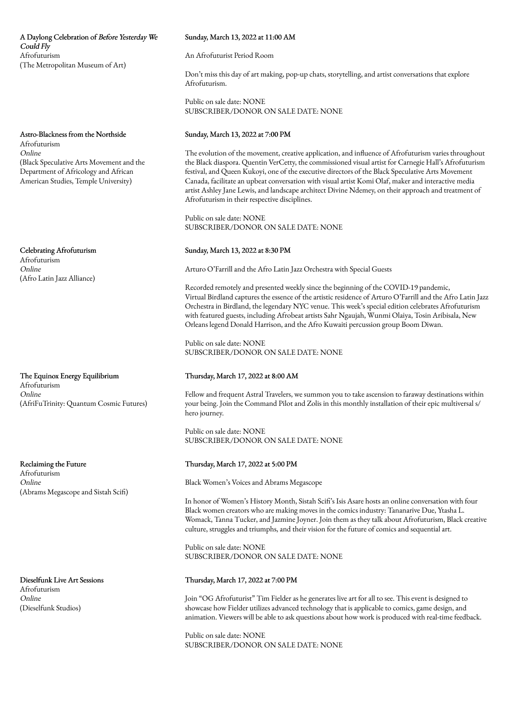# A Daylong Celebration of Before Yesterday We Could Fly Afrofuturism (The Metropolitan Museum of Art)

Astro-Blackness from the Northside Afrofuturism Online (Black Speculative Arts Movement and the Department of Africology and African American Studies, Temple University)

Celebrating Afrofuturism

Afrofuturism Online (Afro Latin Jazz Alliance)

The Equinox Energy Equilibrium Afrofuturism Online (AfriFuTrinity: Quantum Cosmic Futures)

Reclaiming the Future Afrofuturism Online (Abrams Megascope and Sistah Scifi)

Dieselfunk Live Art Sessions Afrofuturism Online (Dieselfunk Studios)

# Sunday, March 13, 2022 at 11:00 AM

An Afrofuturist Period Room

Don't miss this day of art making, pop-up chats, storytelling, and artist conversations that explore Afrofuturism.

Public on sale date: NONE SUBSCRIBER/DONOR ON SALE DATE: NONE

# Sunday, March 13, 2022 at 7:00 PM

The evolution of the movement, creative application, and influence of Afrofuturism varies throughout the Black diaspora. Quentin VerCetty, the commissioned visual artist for Carnegie Hall's Afrofuturism festival, and Queen Kukoyi, one of the executive directors of the Black Speculative Arts Movement Canada, facilitate an upbeat conversation with visual artist Komi Olaf, maker and interactive media artist Ashley Jane Lewis, and landscape architect Divine Ndemey, on their approach and treatment of Afrofuturism in their respective disciplines.

Public on sale date: NONE SUBSCRIBER/DONOR ON SALE DATE: NONE

### Sunday, March 13, 2022 at 8:30 PM

Arturo O'Farrill and the Afro Latin Jazz Orchestra with Special Guests

Recorded remotely and presented weekly since the beginning of the COVID-19 pandemic, Virtual Birdland captures the essence of the artistic residence of Arturo O'Farrill and the Afro Latin Jazz Orchestra in Birdland, the legendary NYC venue. This week's special edition celebrates Afrofuturism with featured guests, including Afrobeat artists Sahr Ngaujah, Wunmi Olaiya, Tosin Aribisala, New Orleans legend Donald Harrison, and the Afro Kuwaiti percussion group Boom Diwan.

Public on sale date: NONE SUBSCRIBER/DONOR ON SALE DATE: NONE

# Thursday, March 17, 2022 at 8:00 AM

Fellow and frequent Astral Travelers, we summon you to take ascension to faraway destinations within your being. Join the Command Pilot and Zolis in this monthly installation of their epic multiversal s/ hero journey.

Public on sale date: NONE SUBSCRIBER/DONOR ON SALE DATE: NONE

# Thursday, March 17, 2022 at 5:00 PM

Black Women's Voices and Abrams Megascope

In honor of Women's History Month, Sistah Scifi's Isis Asare hosts an online conversation with four Black women creators who are making moves in the comics industry: Tananarive Due, Ytasha L. Womack, Tanna Tucker, and Jazmine Joyner. Join them as they talk about Afrofuturism, Black creative culture, struggles and triumphs, and their vision for the future of comics and sequential art.

Public on sale date: NONE SUBSCRIBER/DONOR ON SALE DATE: NONE

## Thursday, March 17, 2022 at 7:00 PM

Join "OG Afrofuturist" Tim Fielder as he generates live art for all to see. This event is designed to showcase how Fielder utilizes advanced technology that is applicable to comics, game design, and animation. Viewers will be able to ask questions about how work is produced with real-time feedback.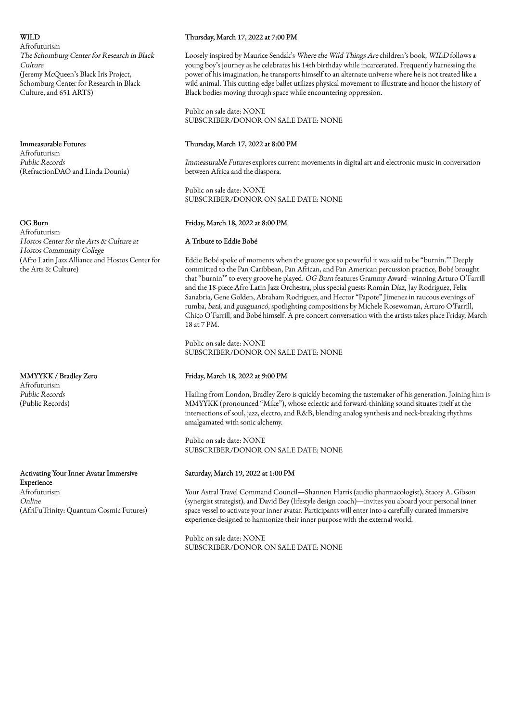# WII D

Afrofuturism The Schomburg Center for Research in Black Culture (Jeremy McQueen's Black Iris Project, Schomburg Center for Research in Black Culture, and 651 ARTS)

Immeasurable Futures Afrofuturism Public Records (RefractionDAO and Linda Dounia)

### OG Burn

Afrofuturism Hostos Center for the Arts & Culture at Hostos Community College (Afro Latin Jazz Alliance and Hostos Center for the Arts & Culture)

MMYYKK / Bradley Zero Afrofuturism Public Records (Public Records)

Activating Your Inner Avatar Immersive Experience Afrofuturism Online (AfriFuTrinity: Quantum Cosmic Futures)

### Thursday, March 17, 2022 at 7:00 PM

Loosely inspired by Maurice Sendak's Where the Wild Things Are children's book, WILD follows a young boy's journey as he celebrates his 14th birthday while incarcerated. Frequently harnessing the power of his imagination, he transports himself to an alternate universe where he is not treated like a wild animal. This cutting-edge ballet utilizes physical movement to illustrate and honor the history of Black bodies moving through space while encountering oppression.

Public on sale date: NONE SUBSCRIBER/DONOR ON SALE DATE: NONE

# Thursday, March 17, 2022 at 8:00 PM

Immeasurable Futures explores current movements in digital art and electronic music in conversation between Africa and the diaspora.

Public on sale date: NONE SUBSCRIBER/DONOR ON SALE DATE: NONE

# Friday, March 18, 2022 at 8:00 PM

#### A Tribute to Eddie Bobé

Eddie Bobé spoke of moments when the groove got so powerful it was said to be "burnin.'" Deeply committed to the Pan Caribbean, Pan African, and Pan American percussion practice, Bobé brought that "burnin'" to every groove he played. OG Burn features Grammy Award–winning Arturo O'Farrill and the 18-piece Afro Latin Jazz Orchestra, plus special guests Román Díaz, Jay Rodriguez, Felix Sanabria, Gene Golden, Abraham Rodriguez, and Hector "Papote" Jimenez in raucous evenings of rumba, batá, and guaguancó, spotlighting compositions by Michele Rosewoman, Arturo O'Farrill, Chico O'Farrill, and Bobé himself. A pre-concert conversation with the artists takes place Friday, March 18 at 7 PM.

Public on sale date: NONE SUBSCRIBER/DONOR ON SALE DATE: NONE

### Friday, March 18, 2022 at 9:00 PM

Hailing from London, Bradley Zero is quickly becoming the tastemaker of his generation. Joining him is MMYYKK (pronounced "Mike"), whose eclectic and forward-thinking sound situates itself at the intersections of soul, jazz, electro, and R&B, blending analog synthesis and neck-breaking rhythms amalgamated with sonic alchemy.

Public on sale date: NONE SUBSCRIBER/DONOR ON SALE DATE: NONE

### Saturday, March 19, 2022 at 1:00 PM

Your Astral Travel Command Council—Shannon Harris (audio pharmacologist), Stacey A. Gibson (synergist strategist), and David Bey (lifestyle design coach)—invites you aboard your personal inner space vessel to activate your inner avatar. Participants will enter into a carefully curated immersive experience designed to harmonize their inner purpose with the external world.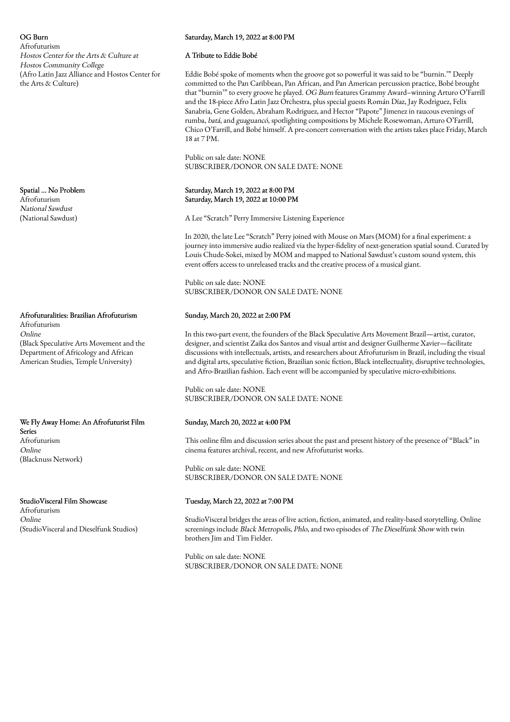OG Burn Afrofuturism Hostos Center for the Arts & Culture at Hostos Community College (Afro Latin Jazz Alliance and Hostos Center for the Arts & Culture)

Spatial ... No Problem Afrofuturism National Sawdust (National Sawdust)

Afrofuturalities: Brazilian Afrofuturism Afrofuturism Online (Black Speculative Arts Movement and the Department of Africology and African American Studies, Temple University)

We Fly Away Home: An Afrofuturist Film Series Afrofuturism Online (Blacknuss Network)

StudioVisceral Film Showcase Afrofuturism Online (StudioVisceral and Dieselfunk Studios)

# Saturday, March 19, 2022 at 8:00 PM

### A Tribute to Eddie Bobé

Eddie Bobé spoke of moments when the groove got so powerful it was said to be "burnin.'" Deeply committed to the Pan Caribbean, Pan African, and Pan American percussion practice, Bobé brought that "burnin'" to every groove he played. OG Burn features Grammy Award–winning Arturo O'Farrill and the 18-piece Afro Latin Jazz Orchestra, plus special guests Román Díaz, Jay Rodriguez, Felix Sanabria, Gene Golden, Abraham Rodriguez, and Hector "Papote" Jimenez in raucous evenings of rumba, batá, and guaguancó, spotlighting compositions by Michele Rosewoman, Arturo O'Farrill, Chico O'Farrill, and Bobé himself. A pre-concert conversation with the artists takes place Friday, March 18 at 7 PM.

Public on sale date: NONE SUBSCRIBER/DONOR ON SALE DATE: NONE

# Saturday, March 19, 2022 at 8:00 PM Saturday, March 19, 2022 at 10:00 PM

A Lee "Scratch" Perry Immersive Listening Experience

In 2020, the late Lee "Scratch" Perry joined with Mouse on Mars (MOM) for a final experiment: a journey into immersive audio realized via the hyper-fidelity of next-generation spatial sound. Curated by Louis Chude-Sokei, mixed by MOM and mapped to National Sawdust's custom sound system, this event offers access to unreleased tracks and the creative process of a musical giant.

Public on sale date: NONE SUBSCRIBER/DONOR ON SALE DATE: NONE

# Sunday, March 20, 2022 at 2:00 PM

In this two-part event, the founders of the Black Speculative Arts Movement Brazil—artist, curator, designer, and scientist Zaika dos Santos and visual artist and designer Guilherme Xavier—facilitate discussions with intellectuals, artists, and researchers about Afrofuturism in Brazil, including the visual and digital arts, speculative fiction, Brazilian sonic fiction, Black intellectuality, disruptive technologies, and Afro-Brazilian fashion. Each event will be accompanied by speculative micro-exhibitions.

Public on sale date: NONE SUBSCRIBER/DONOR ON SALE DATE: NONE

# Sunday, March 20, 2022 at 4:00 PM

This online film and discussion series about the past and present history of the presence of "Black" in cinema features archival, recent, and new Afrofuturist works.

Public on sale date: NONE SUBSCRIBER/DONOR ON SALE DATE: NONE

# Tuesday, March 22, 2022 at 7:00 PM

StudioVisceral bridges the areas of live action, fiction, animated, and reality-based storytelling. Online screenings include Black Metropolis, Phlo, and two episodes of The Dieselfunk Show with twin brothers Jim and Tim Fielder.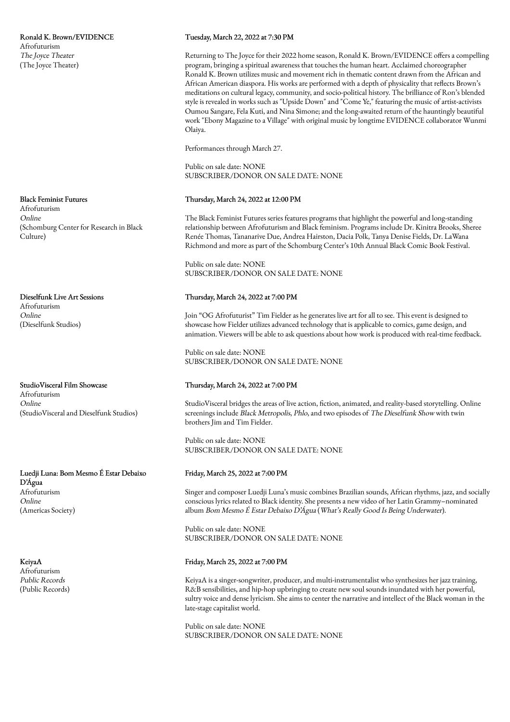Ronald K. Brown/EVIDENCE Afrofuturism The Joyce Theater (The Joyce Theater)

### Black Feminist Futures

Afrofuturism Online (Schomburg Center for Research in Black Culture)

Dieselfunk Live Art Sessions Afrofuturism Online

(Dieselfunk Studios)

StudioVisceral Film Showcase Afrofuturism Online

(StudioVisceral and Dieselfunk Studios)

Luedji Luna: Bom Mesmo É Estar Debaixo D'Água Afrofuturism Online (Americas Society)

KeiyaA Afrofuturism Public Records (Public Records)

### Tuesday, March 22, 2022 at 7:30 PM

Returning to The Joyce for their 2022 home season, Ronald K. Brown/EVIDENCE offers a compelling program, bringing a spiritual awareness that touches the human heart. Acclaimed choreographer Ronald K. Brown utilizes music and movement rich in thematic content drawn from the African and African American diaspora. His works are performed with a depth of physicality that reflects Brown's meditations on cultural legacy, community, and socio-political history. The brilliance of Ron's blended style is revealed in works such as "Upside Down" and "Come Ye," featuring the music of artist-activists Oumou Sangare, Fela Kuti, and Nina Simone; and the long-awaited return of the hauntingly beautiful work "Ebony Magazine to a Village" with original music by longtime EVIDENCE collaborator Wunmi Olaiya.

Performances through March 27.

Public on sale date: NONE SUBSCRIBER/DONOR ON SALE DATE: NONE

#### Thursday, March 24, 2022 at 12:00 PM

The Black Feminist Futures series features programs that highlight the powerful and long-standing relationship between Afrofuturism and Black feminism. Programs include Dr. Kinitra Brooks, Sheree Renée Thomas, Tananarive Due, Andrea Hairston, Dacia Polk, Tanya Denise Fields, Dr. LaWana Richmond and more as part of the Schomburg Center's 10th Annual Black Comic Book Festival.

Public on sale date: NONE SUBSCRIBER/DONOR ON SALE DATE: NONE

#### Thursday, March 24, 2022 at 7:00 PM

Join "OG Afrofuturist" Tim Fielder as he generates live art for all to see. This event is designed to showcase how Fielder utilizes advanced technology that is applicable to comics, game design, and animation. Viewers will be able to ask questions about how work is produced with real-time feedback.

Public on sale date: NONE SUBSCRIBER/DONOR ON SALE DATE: NONE

### Thursday, March 24, 2022 at 7:00 PM

StudioVisceral bridges the areas of live action, fiction, animated, and reality-based storytelling. Online screenings include Black Metropolis, Phlo, and two episodes of The Dieselfunk Show with twin brothers Jim and Tim Fielder.

Public on sale date: NONE SUBSCRIBER/DONOR ON SALE DATE: NONE

#### Friday, March 25, 2022 at 7:00 PM

Singer and composer Luedji Luna's music combines Brazilian sounds, African rhythms, jazz, and socially conscious lyrics related to Black identity. She presents a new video of her Latin Grammy–nominated album Bom Mesmo É Estar Debaixo D'Água (What's Really Good Is Being Underwater).

Public on sale date: NONE SUBSCRIBER/DONOR ON SALE DATE: NONE

# Friday, March 25, 2022 at 7:00 PM

KeiyaA is a singer-songwriter, producer, and multi-instrumentalist who synthesizes her jazz training, R&B sensibilities, and hip-hop upbringing to create new soul sounds inundated with her powerful, sultry voice and dense lyricism. She aims to center the narrative and intellect of the Black woman in the late-stage capitalist world.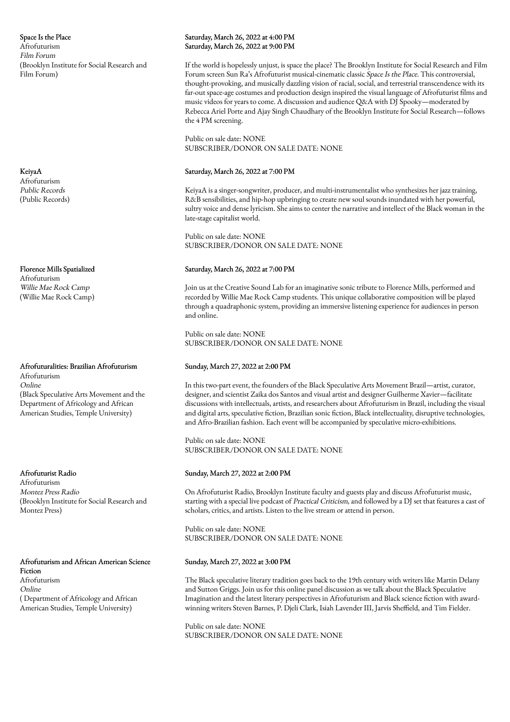Space Is the Place Afrofuturism Film Forum (Brooklyn Institute for Social Research and Film Forum)

KeiyaA Afrofuturism Public Records (Public Records)

Florence Mills Spatialized Afrofuturism Willie Mae Rock Camp (Willie Mae Rock Camp)

# Afrofuturalities: Brazilian Afrofuturism Afrofuturism Online (Black Speculative Arts Movement and the Department of Africology and African American Studies, Temple University)

Afrofuturist Radio

Afrofuturism Montez Press Radio (Brooklyn Institute for Social Research and Montez Press)

Afrofuturism and African American Science Fiction Afrofuturism Online ( Department of Africology and African American Studies, Temple University)

# Saturday, March 26, 2022 at 4:00 PM Saturday, March 26, 2022 at 9:00 PM

If the world is hopelessly unjust, is space the place? The Brooklyn Institute for Social Research and Film Forum screen Sun Ra's Afrofuturist musical-cinematic classic Space Is the Place. This controversial, thought-provoking, and musically dazzling vision of racial, social, and terrestrial transcendence with its far-out space-age costumes and production design inspired the visual language of Afrofuturist films and music videos for years to come. A discussion and audience Q&A with DJ Spooky—moderated by Rebecca Ariel Porte and Ajay Singh Chaudhary of the Brooklyn Institute for Social Research—follows the 4 PM screening.

Public on sale date: NONE SUBSCRIBER/DONOR ON SALE DATE: NONE

# Saturday, March 26, 2022 at 7:00 PM

KeiyaA is a singer-songwriter, producer, and multi-instrumentalist who synthesizes her jazz training, R&B sensibilities, and hip-hop upbringing to create new soul sounds inundated with her powerful, sultry voice and dense lyricism. She aims to center the narrative and intellect of the Black woman in the late-stage capitalist world.

Public on sale date: NONE SUBSCRIBER/DONOR ON SALE DATE: NONE

# Saturday, March 26, 2022 at 7:00 PM

Join us at the Creative Sound Lab for an imaginative sonic tribute to Florence Mills, performed and recorded by Willie Mae Rock Camp students. This unique collaborative composition will be played through a quadraphonic system, providing an immersive listening experience for audiences in person and online.

Public on sale date: NONE SUBSCRIBER/DONOR ON SALE DATE: NONE

# Sunday, March 27, 2022 at 2:00 PM

In this two-part event, the founders of the Black Speculative Arts Movement Brazil—artist, curator, designer, and scientist Zaika dos Santos and visual artist and designer Guilherme Xavier—facilitate discussions with intellectuals, artists, and researchers about Afrofuturism in Brazil, including the visual and digital arts, speculative fiction, Brazilian sonic fiction, Black intellectuality, disruptive technologies, and Afro-Brazilian fashion. Each event will be accompanied by speculative micro-exhibitions.

Public on sale date: NONE SUBSCRIBER/DONOR ON SALE DATE: NONE

# Sunday, March 27, 2022 at 2:00 PM

On Afrofuturist Radio, Brooklyn Institute faculty and guests play and discuss Afrofuturist music, starting with a special live podcast of Practical Criticism, and followed by a DJ set that features a cast of scholars, critics, and artists. Listen to the live stream or attend in person.

Public on sale date: NONE SUBSCRIBER/DONOR ON SALE DATE: NONE

# Sunday, March 27, 2022 at 3:00 PM

The Black speculative literary tradition goes back to the 19th century with writers like Martin Delany and Sutton Griggs. Join us for this online panel discussion as we talk about the Black Speculative Imagination and the latest literary perspectives in Afrofuturism and Black science fiction with awardwinning writers Steven Barnes, P. Djeli Clark, Isiah Lavender III, Jarvis Sheffield, and Tim Fielder.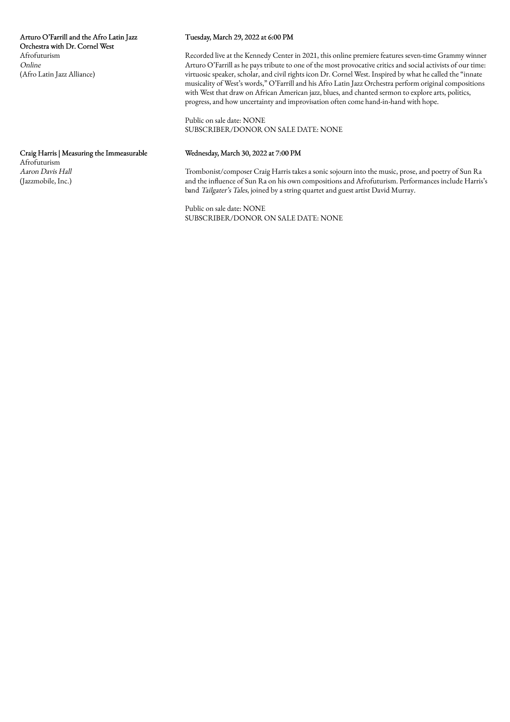# Tuesday, March 29, 2022 at 6:00 PM

Recorded live at the Kennedy Center in 2021, this online premiere features seven-time Grammy winner Arturo O'Farrill as he pays tribute to one of the most provocative critics and social activists of our time: virtuosic speaker, scholar, and civil rights icon Dr. Cornel West. Inspired by what he called the "innate musicality of West's words," O'Farrill and his Afro Latin Jazz Orchestra perform original compositions with West that draw on African American jazz, blues, and chanted sermon to explore arts, politics, progress, and how uncertainty and improvisation often come hand-in-hand with hope.

Public on sale date: NONE SUBSCRIBER/DONOR ON SALE DATE: NONE

# Wednesday, March 30, 2022 at 7:00 PM

Trombonist/composer Craig Harris takes a sonic sojourn into the music, prose, and poetry of Sun Ra and the influence of Sun Ra on his own compositions and Afrofuturism. Performances include Harris's band Tailgater's Tales, joined by a string quartet and guest artist David Murray.

Public on sale date: NONE SUBSCRIBER/DONOR ON SALE DATE: NONE

Craig Harris | Measuring the Immeasurable Afrofuturism Aaron Davis Hall (Jazzmobile, Inc.)